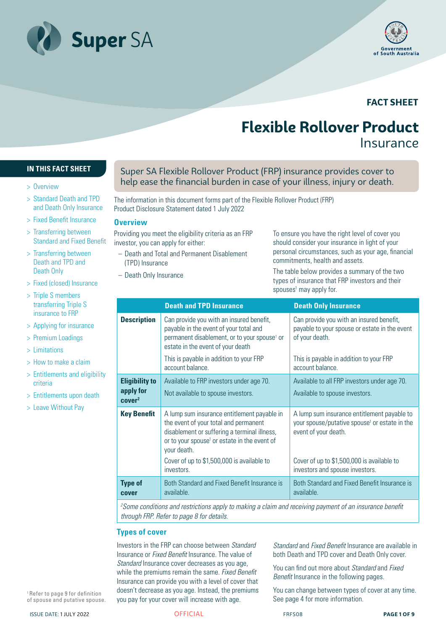



## **FACT SHEET**

# **Flexible Rollover Product** Insurance

#### **IN THIS FACT SHEET**

- > Overview
- > Standard Death and TPD and Death Only Insurance
- > Fixed Benefit Insurance
- > Transferring between Standard and Fixed Benefit
- > Transferring between Death and TPD and Death Only
- > Fixed (closed) Insurance
- > Triple S members transferring Triple S insurance to FRP
- > Applying for insurance
- > Premium Loadings
- > Limitations
- > How to make a claim
- > Entitlements and eligibility criteria
- > Entitlements upon death
- > Leave Without Pay

Super SA Flexible Rollover Product (FRP) insurance provides cover to help ease the financial burden in case of your illness, injury or death.

The information in this document forms part of the Flexible Rollover Product (FRP) Product Disclosure Statement dated 1 July 2022

#### **Overview**

Providing you meet the eligibility criteria as an FRP investor, you can apply for either:

- Death and Total and Permanent Disablement (TPD) Insurance
- Death Only Insurance

To ensure you have the right level of cover you should consider your insurance in light of your personal circumstances, such as your age, financial commitments, health and assets.

The table below provides a summary of the two types of insurance that FRP investors and their spouses<sup>1</sup> may apply for.

|                                                          | <b>Death and TPD Insurance</b>                                                                                                                                                                                                                                | <b>Death Only Insurance</b>                                                                                                                                                    |
|----------------------------------------------------------|---------------------------------------------------------------------------------------------------------------------------------------------------------------------------------------------------------------------------------------------------------------|--------------------------------------------------------------------------------------------------------------------------------------------------------------------------------|
| <b>Description</b>                                       | Can provide you with an insured benefit,<br>payable in the event of your total and<br>permanent disablement, or to your spouse <sup>1</sup> or<br>estate in the event of your death                                                                           | Can provide you with an insured benefit,<br>payable to your spouse or estate in the event<br>of your death.                                                                    |
|                                                          | This is payable in addition to your FRP<br>account balance.                                                                                                                                                                                                   | This is payable in addition to your FRP<br>account balance.                                                                                                                    |
| <b>Eligibility to</b><br>apply for<br>cover <sup>2</sup> | Available to FRP investors under age 70.<br>Not available to spouse investors.                                                                                                                                                                                | Available to all FRP investors under age 70.<br>Available to spouse investors.                                                                                                 |
| <b>Key Benefit</b>                                       | A lump sum insurance entitlement payable in<br>the event of your total and permanent<br>disablement or suffering a terminal illness,<br>or to your spouse <sup>1</sup> or estate in the event of<br>your death.<br>Cover of up to \$1,500,000 is available to | A lump sum insurance entitlement payable to<br>your spouse/putative spouse <sup>1</sup> or estate in the<br>event of your death.<br>Cover of up to \$1,500,000 is available to |
|                                                          | investors.                                                                                                                                                                                                                                                    | investors and spouse investors.                                                                                                                                                |
| <b>Type of</b><br>cover                                  | Both Standard and Fixed Benefit Insurance is<br>available.                                                                                                                                                                                                    | Both Standard and Fixed Benefit Insurance is<br>available.                                                                                                                     |

*2 Some conditions and restrictions apply to making a claim and receiving payment of an insurance benefit through FRP. Refer to page 8 for details.*

#### **Types of cover**

Investors in the FRP can choose between *Standard* Insurance or *Fixed Benefit* Insurance. The value of *Standard* Insurance cover decreases as you age, while the premiums remain the same. *Fixed Benefit* Insurance can provide you with a level of cover that doesn't decrease as you age. Instead, the premiums you pay for your cover will increase with age.

*Standard* and *Fixed Benefit* Insurance are available in both Death and TPD cover and Death Only cover.

You can find out more about *Standard* and *Fixed Benefit* Insurance in the following pages.

You can change between types of cover at any time. See page 4 for more information.

1 Refer to page 9 for definition of spouse and putative spouse.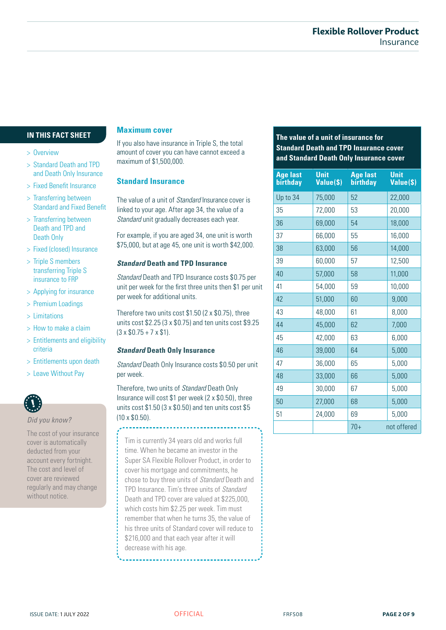#### **IN THIS FACT SHEET**

#### > Overview

- > Standard Death and TPD and Death Only Insurance
- > Fixed Benefit Insurance
- > Transferring between Standard and Fixed Benefit
- > Transferring between Death and TPD and Death Only
- > Fixed (closed) Insurance
- > Triple S members transferring Triple S insurance to FRP
- > Applying for insurance
- > Premium Loadings
- > Limitations
- > How to make a claim
- > Entitlements and eligibility criteria
- > Entitlements upon death
- > Leave Without Pay



The cost of your insurance cover is automatically deducted from your account every fortnight. The cost and level of cover are reviewed regularly and may change without notice.

#### **Maximum cover**

If you also have insurance in Triple S, the total amount of cover you can have cannot exceed a maximum of \$1,500,000.

#### **Standard Insurance**

#### *Standard* **Death and TPD Insurance**

#### *Standard* **Death Only Insurance**

Tim is currently 34 years old and works full time. When he became an investor in the Super SA Flexible Rollover Product, in order to cover his mortgage and commitments, he chose to buy three units of *Standard* Death and TPD Insurance. Tim's three units of *Standard* Death and TPD cover are valued at \$225,000, which costs him \$2.25 per week. Tim must remember that when he turns 35, the value of his three units of Standard cover will reduce to \$216,000 and that each year after it will decrease with his age.

### **The value of a unit of insurance for Standard Death and TPD Insurance cover and Standard Death Only Insurance cover**

| and Death Only Insurance                    |                                                                                    | <b>Age last</b> | <b>Unit</b> | <b>Age last</b> | <b>Unit</b> |
|---------------------------------------------|------------------------------------------------------------------------------------|-----------------|-------------|-----------------|-------------|
| > Fixed Benefit Insurance                   | <b>Standard Insurance</b>                                                          | birthday        | Value(\$)   | birthday        | Value(\$)   |
| > Transferring between                      | The value of a unit of <i>Standard</i> Insurance cover is                          | Up to 34        | 75,000      | 52              | 22,000      |
| <b>Standard and Fixed Benefit</b>           | linked to your age. After age 34, the value of a                                   | 35              | 72,000      | 53              | 20,000      |
| > Transferring between<br>Death and TPD and | Standard unit gradually decreases each year.                                       | 36              | 69,000      | 54              | 18,000      |
| Death Only                                  | For example, if you are aged 34, one unit is worth                                 | 37              | 66,000      | 55              | 16,000      |
| > Fixed (closed) Insurance                  | \$75,000, but at age 45, one unit is worth \$42,000.                               | 38              | 63,000      | 56              | 14,000      |
| > Triple S members                          | <b>Standard Death and TPD Insurance</b>                                            | 39              | 60,000      | 57              | 12,500      |
| transferring Triple S<br>insurance to FRP   | Standard Death and TPD Insurance costs \$0.75 per                                  | 40              | 57,000      | 58              | 11,000      |
| > Applying for insurance                    | unit per week for the first three units then \$1 per unit                          | 41              | 54,000      | 59              | 10,000      |
| > Premium Loadings                          | per week for additional units.                                                     | 42              | 51,000      | 60              | 9,000       |
| > Limitations                               | Therefore two units cost $$1.50$ (2 x $$0.75$ ), three                             | 43              | 48,000      | 61              | 8,000       |
| > How to make a claim                       | units cost \$2.25 (3 x \$0.75) and ten units cost \$9.25                           | 44              | 45,000      | 62              | 7,000       |
| > Entitlements and eligibility              | $(3 \times $0.75 + 7 \times $1)$ .                                                 | 45              | 42,000      | 63              | 6,000       |
| criteria                                    | <b>Standard Death Only Insurance</b>                                               | 46              | 39,000      | 64              | 5,000       |
| > Entitlements upon death                   | Standard Death Only Insurance costs \$0.50 per unit                                | 47              | 36,000      | 65              | 5,000       |
| > Leave Without Pay                         | per week.                                                                          | 48              | 33,000      | 66              | 5,000       |
|                                             | Therefore, two units of Standard Death Only                                        | 49              | 30,000      | 67              | 5,000       |
|                                             | Insurance will cost \$1 per week (2 x \$0.50), three                               | 50              | 27,000      | 68              | 5,000       |
| Did you know?                               | units cost $$1.50$ (3 x $$0.50$ ) and ten units cost $$5$<br>$(10 \times $0.50)$ . | 51              | 24,000      | 69              | 5,000       |
| The company of communication                |                                                                                    |                 |             | $70+$           | not offered |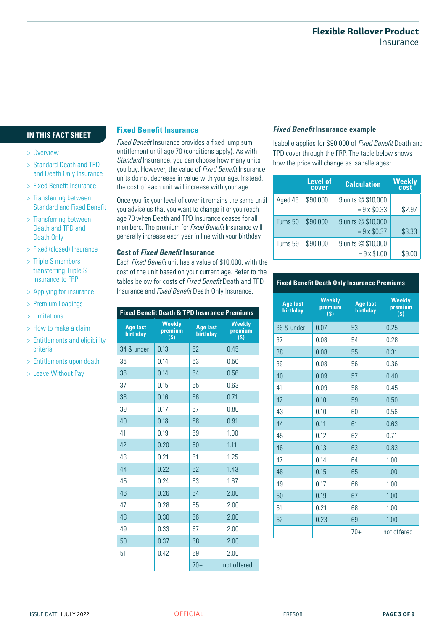#### **IN THIS FACT SHEET**

#### > Overview

- > Standard Death and TPD and Death Only Insurance
- > Fixed Benefit Insurance
- > Transferring between Standard and Fixed Benefit
- > Transferring between Death and TPD and Death Only
- > Fixed (closed) Insurance
- > Triple S members transferring Triple S insurance to FRP
- > Applying for insurance
- > Premium Loadings
- > Limitations
- > How to make a claim
- > Entitlements and eligibility criteria
- > Entitlements upon death
- > Leave Without Pay

#### **Fixed Benefit Insurance**

*Fixed Benefit* Insurance provides a fixed lump sum entitlement until age 70 (conditions apply). As with *Standard* Insurance, you can choose how many units you buy. However, the value of *Fixed Benefit* Insurance units do not decrease in value with your age. Instead, the cost of each unit will increase with your age.

Once you fix your level of cover it remains the same until you advise us that you want to change it or you reach age 70 when Death and TPD Insurance ceases for all members. The premium for *Fixed Benefit* Insurance will generally increase each year in line with your birthday.

#### **Cost of** *Fixed Benefit* **Insurance**

Each *Fixed Benefit* unit has a value of \$10,000, with the cost of the unit based on your current age. Refer to the tables below for costs of *Fixed Benefit* Death and TPD Insurance and *Fixed Benefit* Death Only Insurance.

| <b>Fixed Benefit Death &amp; TPD Insurance Premiums</b> |                                 |                             |                                 |  |
|---------------------------------------------------------|---------------------------------|-----------------------------|---------------------------------|--|
| <b>Age last</b><br><b>birthday</b>                      | <b>Weekly</b><br>premium<br>(S) | <b>Age last</b><br>birthday | <b>Weekly</b><br>premium<br>(S) |  |
| 34 & under                                              | 0.13                            | 52                          | 0.45                            |  |
| 35                                                      | 0.14                            | 53                          | 0.50                            |  |
| 36                                                      | 0.14                            | 54                          | 0.56                            |  |
| 37                                                      | 0.15                            | 55                          | 0.63                            |  |
| 38                                                      | 0.16                            | 56                          | 0.71                            |  |
| 39                                                      | 0.17                            | 57                          | 0.80                            |  |
| 40                                                      | 0.18                            | 58                          | 0.91                            |  |
| 41                                                      | 0.19                            | 59                          | 1.00                            |  |
| 42                                                      | 0.20                            | 60                          | 1.11                            |  |
| 43                                                      | 0.21                            | 61                          | 1.25                            |  |
| 44                                                      | 0.22                            | 62                          | 1.43                            |  |
| 45                                                      | 0.24                            | 63                          | 1.67                            |  |
| 46                                                      | 0.26                            | 64                          | 2.00                            |  |
| 47                                                      | 0.28                            | 65                          | 2.00                            |  |
| 48                                                      | 0.30                            | 66                          | 2.00                            |  |
| 49                                                      | 0.33                            | 67                          | 2.00                            |  |
| 50                                                      | 0.37                            | 68                          | 2.00                            |  |
| 51                                                      | 0.42                            | 69                          | 2.00                            |  |
|                                                         |                                 | $70+$                       | not offered                     |  |

#### *Fixed Benefit* **Insurance example**

Isabelle applies for \$90,000 of *Fixed Benefit* Death and TPD cover through the FRP. The table below shows how the price will change as Isabelle ages:

|          | <b>Level of</b><br>cover | <b>Calculation</b>                       | Weekly<br>cost |
|----------|--------------------------|------------------------------------------|----------------|
| Aged 49  | \$90,000                 | 9 units @ \$10,000<br>$= 9 \times $0.33$ | \$2.97         |
| Turns 50 | \$90,000                 | 9 units @ \$10,000<br>$= 9 \times $0.37$ | \$3.33         |
| Turns 59 | \$90,000                 | 9 units @ \$10,000<br>$= 9 \times $1.00$ | \$9.00         |

#### **Fixed Benefit Death Only Insurance Premiums**

| <b>Age last</b><br>birthday | <b>Weekly</b><br>premium<br>$\overline{(\$)}$ | <b>Age last</b><br>birthday | <b>Weekly</b><br>premium<br>(S) |
|-----------------------------|-----------------------------------------------|-----------------------------|---------------------------------|
| 36 & under                  | 0.07                                          | 53                          | 0.25                            |
| 37                          | 0.08                                          | 54                          | 0.28                            |
| 38                          | 0.08                                          | 55                          | 0.31                            |
| 39                          | 0.08                                          | 56                          | 0.36                            |
| 40                          | 0.09                                          | 57                          | 0.40                            |
| 41                          | 0.09                                          | 58                          | 0.45                            |
| 42                          | 0.10                                          | 59                          | 0.50                            |
| 43                          | 0.10                                          | 60                          | 0.56                            |
| 44                          | 0.11                                          | 61                          | 0.63                            |
| 45                          | 0.12                                          | 62                          | 0.71                            |
| 46                          | 0.13                                          | 63                          | 0.83                            |
| 47                          | 0.14                                          | 64                          | 1.00                            |
| 48                          | 0.15                                          | 65                          | 1.00                            |
| 49                          | 0.17                                          | 66                          | 1.00                            |
| 50                          | 0.19                                          | 67                          | 1.00                            |
| 51                          | 0.21                                          | 68                          | 1.00                            |
| 52                          | 0.23                                          | 69                          | 1.00                            |
|                             |                                               | $70+$                       | not offered                     |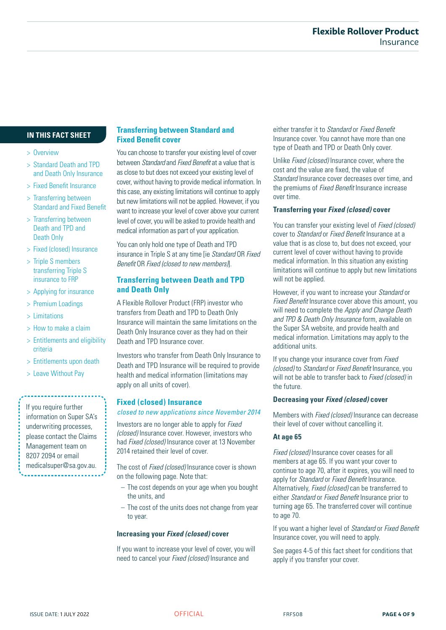#### **IN THIS FACT SHEET**

#### > Overview

- > Standard Death and TPD and Death Only Insurance
- > Fixed Benefit Insurance
- > Transferring between Standard and Fixed Benefit
- > Transferring between Death and TPD and Death Only
- > Fixed (closed) Insurance
- > Triple S members transferring Triple S insurance to FRP
- > Applying for insurance
- > Premium Loadings
- > Limitations
- > How to make a claim
- > Entitlements and eligibility criteria
- > Entitlements upon death
- > Leave Without Pay

If you require further information on Super SA's underwriting processes, please contact the Claims Management team on 8207 2094 or email medicalsuper@sa.gov.au.

#### **Transferring between Standard and Fixed Benefit cover**

You can choose to transfer your existing level of cover between *Standard* and *Fixed Benefit* at a value that is as close to but does not exceed your existing level of cover, without having to provide medical information. In this case, any existing limitations will continue to apply but new limitations will not be applied. However, if you want to increase your level of cover above your current level of cover, you will be asked to provide health and medical information as part of your application.

You can only hold one type of Death and TPD insurance in Triple S at any time [ie *Standard* OR *Fixed Benefit* OR *Fixed (closed to new members)*].

#### **Transferring between Death and TPD and Death Only**

A Flexible Rollover Product (FRP) investor who transfers from Death and TPD to Death Only Insurance will maintain the same limitations on the Death Only Insurance cover as they had on their Death and TPD Insurance cover.

Investors who transfer from Death Only Insurance to Death and TPD Insurance will be required to provide health and medical information (limitations may apply on all units of cover).

#### **Fixed (closed) Insurance**

*closed to new applications since November 2014*

Investors are no longer able to apply for *Fixed (closed)* Insurance cover. However, investors who had *Fixed (closed)* Insurance cover at 13 November 2014 retained their level of cover.

The cost of *Fixed (closed)* Insurance cover is shown on the following page. Note that:

- The cost depends on your age when you bought the units, and
- The cost of the units does not change from year to year.

#### **Increasing your** *Fixed (closed)* **cover**

If you want to increase your level of cover, you will need to cancel your *Fixed (closed)* Insurance and

either transfer it to *Standard* or *Fixed Benefit* Insurance cover. You cannot have more than one type of Death and TPD or Death Only cover.

Unlike *Fixed (closed)* Insurance cover, where the cost and the value are fixed, the value of *Standard* Insurance cover decreases over time, and the premiums of *Fixed Benefit* Insurance increase over time.

#### **Transferring your** *Fixed (closed)* **cover**

You can transfer your existing level of *Fixed (closed)* cover to *Standard* or *Fixed Benefit* Insurance at a value that is as close to, but does not exceed, your current level of cover without having to provide medical information. In this situation any existing limitations will continue to apply but new limitations will not be applied.

However, if you want to increase your *Standard* or *Fixed Benefit* Insurance cover above this amount, you will need to complete the *Apply and Change Death and TPD & Death Only Insurance* form, available on the Super SA website, and provide health and medical information. Limitations may apply to the additional units.

If you change your insurance cover from *Fixed (closed)* to *Standard* or *Fixed Benefit* Insurance, you will not be able to transfer back to *Fixed (closed)* in the future.

#### **Decreasing your** *Fixed (closed)* **cover**

Members with *Fixed (closed)* Insurance can decrease their level of cover without cancelling it.

#### **At age 65**

*Fixed (closed)* Insurance cover ceases for all members at age 65. If you want your cover to continue to age 70, after it expires, you will need to apply for *Standard* or *Fixed Benefit* Insurance. Alternatively, *Fixed (closed)* can be transferred to either *Standard* or *Fixed Benefit* Insurance prior to turning age 65. The transferred cover will continue to age 70.

If you want a higher level of *Standard* or *Fixed Benefit* Insurance cover, you will need to apply.

See pages 4-5 of this fact sheet for conditions that apply if you transfer your cover.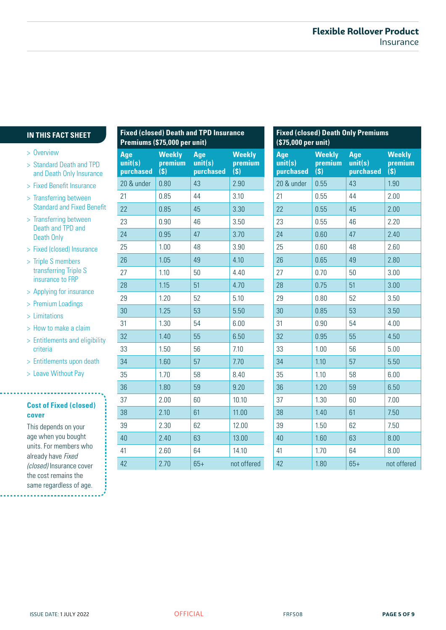#### **IN THIS FACT SHEET**

- > Overview
- > Standard Death and TPD and Death Only Insurance
- > Fixed Benefit Insurance
- > Transferring between Standard and Fixed Benefit
- > Transferring between Death and TPD and Death Only
- > Fixed (closed) Insurance
- > Triple S members transferring Triple S insurance to FRP
- > Applying for insurance
- > Premium Loadings
- > Limitations
- > How to make a claim
- > Entitlements and eligibility criteria
- > Entitlements upon death
- > Leave Without Pay

#### **Cost of Fixed (closed) cover**

This depends on your age when you bought units. For members who already have *Fixed (closed)* Insurance cover the cost remains the same regardless of age.

. . . . . . . . . . . . . . . .

| <b>Fixed (closed) Death and TPD Insurance</b><br>Premiums (\$75,000 per unit) |                                                       |                             |                                 |
|-------------------------------------------------------------------------------|-------------------------------------------------------|-----------------------------|---------------------------------|
| Age<br>unit(s)<br>purchased                                                   | <b>Weekly</b><br>premium<br>$\mathbf{\overline{(S)}}$ | Age<br>unit(s)<br>purchased | <b>Weekly</b><br>premium<br>(s) |
| 20 & under                                                                    | 0.80                                                  | 43                          | 2.90                            |
| 21                                                                            | 0.85                                                  | 44                          | 3.10                            |
| 22                                                                            | 0.85                                                  | 45                          | 3.30                            |
| 23                                                                            | 0.90                                                  | 46                          | 3.50                            |
| 24                                                                            | 0.95                                                  | 47                          | 3.70                            |
| 25                                                                            | 1.00                                                  | 48                          | 3.90                            |
| 26                                                                            | 1.05                                                  | 49                          | 4.10                            |
| 27                                                                            | 1.10                                                  | 50                          | 4.40                            |
| 28                                                                            | 1.15                                                  | 51                          | 4.70                            |
| 29                                                                            | 1.20                                                  | 52                          | 5.10                            |
| 30                                                                            | 1.25                                                  | 53                          | 5.50                            |
| 31                                                                            | 1.30                                                  | 54                          | 6.00                            |
| 32                                                                            | 1.40                                                  | 55                          | 6.50                            |
| 33                                                                            | 1.50                                                  | 56                          | 7.10                            |
| 34                                                                            | 1.60                                                  | 57                          | 7.70                            |
| 35                                                                            | 1.70                                                  | 58                          | 8.40                            |
| 36                                                                            | 1.80                                                  | 59                          | 9.20                            |
| 37                                                                            | 2.00                                                  | 60                          | 10.10                           |
| 38                                                                            | 2.10                                                  | 61                          | 11.00                           |
| 39                                                                            | 2.30                                                  | 62                          | 12.00                           |
| 40                                                                            | 2.40                                                  | 63                          | 13.00                           |
| 41                                                                            | 2.60                                                  | 64                          | 14.10                           |
| 42                                                                            | 2.70                                                  | $65+$                       | not offered                     |

| <b>Fixed (closed) Death Only Premiums</b><br>(\$75,000 per unit) |                                 |                             |                                                |  |
|------------------------------------------------------------------|---------------------------------|-----------------------------|------------------------------------------------|--|
| Age<br>unit(s)<br>purchased                                      | <b>Weekly</b><br>premium<br>(s) | Age<br>unit(s)<br>purchased | <b>Weekly</b><br>premium<br>$\mathbf{\dot{S}}$ |  |
| 20 & under                                                       | 0.55                            | 43                          | 1.90                                           |  |
| 21                                                               | 0.55                            | 44                          | 2.00                                           |  |
| 22                                                               | 0.55                            | 45                          | 2.00                                           |  |
| 23                                                               | 0.55                            | 46                          | 2.20                                           |  |
| 24                                                               | 0.60                            | 47                          | 2.40                                           |  |
| 25                                                               | 0.60                            | 48                          | 2.60                                           |  |
| 26                                                               | 0.65                            | 49                          | 2.80                                           |  |
| 27                                                               | 0.70                            | 50                          | 3.00                                           |  |
| 28                                                               | 0.75                            | 51                          | 3.00                                           |  |
| 29                                                               | 0.80                            | 52                          | 3.50                                           |  |
| 30                                                               | 0.85                            | 53                          | 3.50                                           |  |
| 31                                                               | 0.90                            | 54                          | 4.00                                           |  |
| 32                                                               | 0.95                            | 55                          | 4.50                                           |  |
| 33                                                               | 1.00                            | 56                          | 5.00                                           |  |
| 34                                                               | 1.10                            | 57                          | 5.50                                           |  |
| 35                                                               | 1.10                            | 58                          | 6.00                                           |  |
| 36                                                               | 1.20                            | 59                          | 6.50                                           |  |
| 37                                                               | 1.30                            | 60                          | 7.00                                           |  |
| 38                                                               | 1.40                            | 61                          | 7.50                                           |  |
| 39                                                               | 1.50                            | 62                          | 7.50                                           |  |
| 40                                                               | 1.60                            | 63                          | 8.00                                           |  |
| 41                                                               | 1.70                            | 64                          | 8.00                                           |  |
| 42                                                               | 1.80                            | $65+$                       | not offered                                    |  |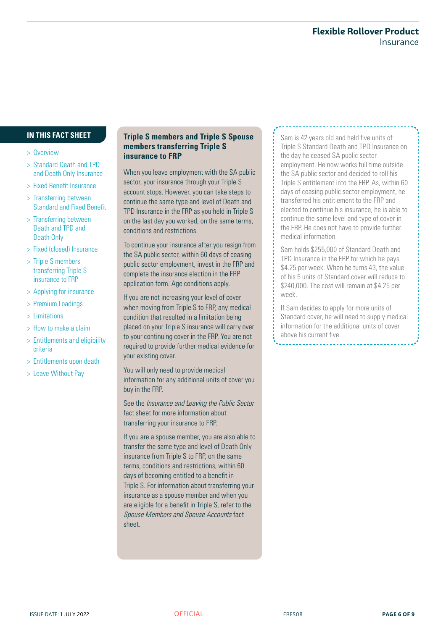#### **IN THIS FACT SHEET**

- > Overview
- > Standard Death and TPD and Death Only Insurance
- > Fixed Benefit Insurance
- > Transferring between Standard and Fixed Benefit
- > Transferring between Death and TPD and Death Only
- > Fixed (closed) Insurance
- > Triple S members transferring Triple S insurance to FRP
- > Applying for insurance
- > Premium Loadings
- > Limitations
- > How to make a claim
- > Entitlements and eligibility criteria
- > Entitlements upon death
- > Leave Without Pay

#### **Triple S members and Triple S Spouse members transferring Triple S insurance to FRP**

When you leave employment with the SA public sector, your insurance through your Triple S account stops. However, you can take steps to continue the same type and level of Death and TPD Insurance in the FRP as you held in Triple S on the last day you worked, on the same terms, conditions and restrictions.

To continue your insurance after you resign from the SA public sector, within 60 days of ceasing public sector employment, invest in the FRP and complete the insurance election in the FRP application form. Age conditions apply.

If you are not increasing your level of cover when moving from Triple S to FRP, any medical condition that resulted in a limitation being placed on your Triple S insurance will carry over to your continuing cover in the FRP. You are not required to provide further medical evidence for your existing cover.

You will only need to provide medical information for any additional units of cover you buy in the FRP.

See the *Insurance and Leaving the Public Sector* fact sheet for more information about transferring your insurance to FRP.

If you are a spouse member, you are also able to transfer the same type and level of Death Only insurance from Triple S to FRP, on the same terms, conditions and restrictions, within 60 days of becoming entitled to a benefit in Triple S. For information about transferring your insurance as a spouse member and when you are eligible for a benefit in Triple S, refer to the *Spouse Members and Spouse Accounts* fact sheet.

Sam is 42 years old and held five units of Triple S Standard Death and TPD Insurance on the day he ceased SA public sector employment. He now works full time outside the SA public sector and decided to roll his Triple S entitlement into the FRP. As, within 60 days of ceasing public sector employment, he transferred his entitlement to the FRP and elected to continue his insurance, he is able to continue the same level and type of cover in the FRP. He does not have to provide further medical information.

Sam holds \$255,000 of Standard Death and TPD Insurance in the FRP for which he pays \$4.25 per week. When he turns 43, the value of his 5 units of Standard cover will reduce to \$240,000. The cost will remain at \$4.25 per week.

If Sam decides to apply for more units of Standard cover, he will need to supply medical information for the additional units of cover above his current five.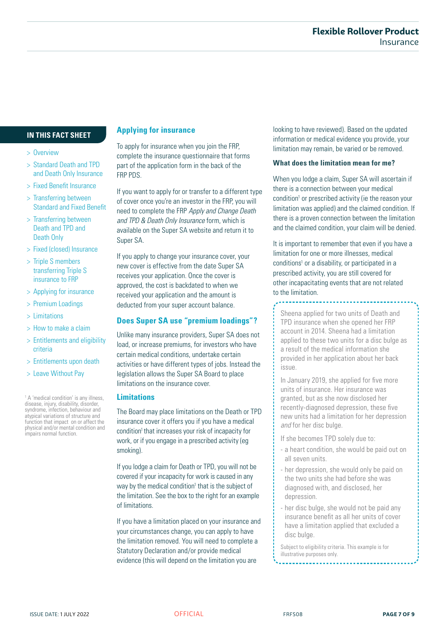#### **IN THIS FACT SHEET**

#### > Overview

- > Standard Death and TPD and Death Only Insurance
- > Fixed Benefit Insurance
- > Transferring between Standard and Fixed Benefit
- > Transferring between Death and TPD and Death Only
- > Fixed (closed) Insurance
- > Triple S members transferring Triple S insurance to FRP
- > Applying for insurance
- > Premium Loadings
- > Limitations
- > How to make a claim
- > Entitlements and eligibility criteria
- > Entitlements upon death
- > Leave Without Pay

<sup>1</sup> A 'medical condition' is any illness, disease, injury, disability, disorder, syndrome, infection, behaviour and atypical variations of structure and function that impact on or affect the physical and/or mental condition and impairs normal function.

#### **Applying for insurance**

To apply for insurance when you join the FRP, complete the insurance questionnaire that forms part of the application form in the back of the FRP PDS.

If you want to apply for or transfer to a different type of cover once you're an investor in the FRP, you will need to complete the FRP *Apply and Change Death and TPD & Death Only Insurance* form, which is available on the Super SA website and return it to Super SA.

If you apply to change your insurance cover, your new cover is effective from the date Super SA receives your application. Once the cover is approved, the cost is backdated to when we received your application and the amount is deducted from your super account balance.

#### **Does Super SA use "premium loadings"?**

Unlike many insurance providers, Super SA does not load, or increase premiums, for investors who have certain medical conditions, undertake certain activities or have different types of jobs. Instead the legislation allows the Super SA Board to place limitations on the insurance cover.

#### **Limitations**

The Board may place limitations on the Death or TPD insurance cover it offers you if you have a medical condition<sup>1</sup> that increases your risk of incapacity for work, or if you engage in a prescribed activity (eg smoking).

If you lodge a claim for Death or TPD, you will not be covered if your incapacity for work is caused in any way by the medical condition<sup>1</sup> that is the subject of the limitation. See the box to the right for an example of limitations.

If you have a limitation placed on your insurance and your circumstances change, you can apply to have the limitation removed. You will need to complete a Statutory Declaration and/or provide medical evidence (this will depend on the limitation you are

looking to have reviewed). Based on the updated information or medical evidence you provide, your limitation may remain, be varied or be removed.

#### **What does the limitation mean for me?**

When you lodge a claim, Super SA will ascertain if there is a connection between your medical condition<sup>1</sup> or prescribed activity (ie the reason your limitation was applied) and the claimed condition. If there is a proven connection between the limitation and the claimed condition, your claim will be denied.

It is important to remember that even if you have a limitation for one or more illnesses, medical conditions<sup>1</sup> or a disability, or participated in a prescribed activity, you are still covered for other incapacitating events that are not related to the limitation.

Sheena applied for two units of Death and TPD insurance when she opened her FRP account in 2014. Sheena had a limitation applied to these two units for a disc bulge as a result of the medical information she provided in her application about her back issue.

In January 2019, she applied for five more units of insurance. Her insurance was granted, but as she now disclosed her recently-diagnosed depression, these five new units had a limitation for her depression *and* for her disc bulge.

If she becomes TPD solely due to:

- a heart condition, she would be paid out on all seven units.
- her depression, she would only be paid on the two units she had before she was diagnosed with, and disclosed, her depression.
- her disc bulge, she would not be paid any insurance benefit as all her units of cover have a limitation applied that excluded a disc bulge.

Subject to eligibility criteria. This example is for illustrative purposes only.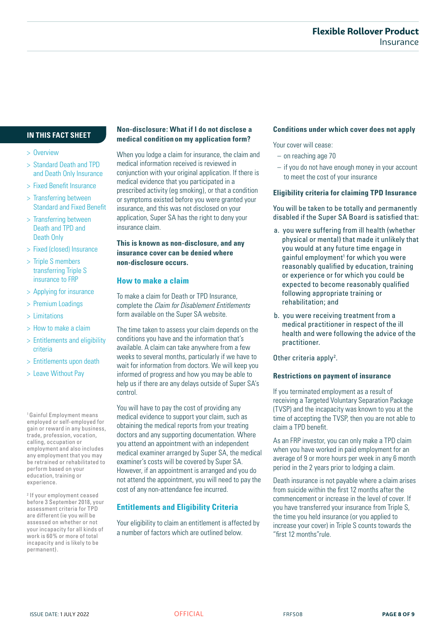## **IN THIS FACT SHEET**

- > Overview
- > Standard Death and TPD and Death Only Insurance
- > Fixed Benefit Insurance
- > Transferring between Standard and Fixed Benefit
- > Transferring between Death and TPD and Death Only
- > Fixed (closed) Insurance
- > Triple S members transferring Triple S insurance to FRP
- > Applying for insurance
- > Premium Loadings
- > Limitations
- > How to make a claim
- > Entitlements and eligibility criteria
- > Entitlements upon death
- > Leave Without Pay

1 Gainful Employment means employed or self-employed for gain or reward in any business, trade, profession, vocation, calling, occupation or employment and also includes any employment that you may be retrained or rehabilitated to perform based on your education, training or experience.

2 If your employment ceased before 3 September 2018, your assessment criteria for TPD are different (ie you will be assessed on whether or not your incapacity for all kinds of work is 60% or more of total incapacity and is likely to be permanent).

#### **Non-disclosure: What if I do not disclose a medical condition on my application form?**

When you lodge a claim for insurance, the claim and medical information received is reviewed in conjunction with your original application. If there is medical evidence that you participated in a prescribed activity (eg smoking), or that a condition or symptoms existed before you were granted your insurance, and this was not disclosed on your application, Super SA has the right to deny your insurance claim.

#### **This is known as non-disclosure, and any insurance cover can be denied where non-disclosure occurs.**

#### **How to make a claim**

To make a claim for Death or TPD Insurance, complete the *Claim for Disablement Entitlements* form available on the Super SA website.

The time taken to assess your claim depends on the conditions you have and the information that's available. A claim can take anywhere from a few weeks to several months, particularly if we have to wait for information from doctors. We will keep you informed of progress and how you may be able to help us if there are any delays outside of Super SA's control.

You will have to pay the cost of providing any medical evidence to support your claim, such as obtaining the medical reports from your treating doctors and any supporting documentation. Where you attend an appointment with an independent medical examiner arranged by Super SA, the medical examiner's costs will be covered by Super SA. However, if an appointment is arranged and you do not attend the appointment, you will need to pay the cost of any non-attendance fee incurred.

## **Entitlements and Eligibility Criteria**

Your eligibility to claim an entitlement is affected by a number of factors which are outlined below.

#### **Conditions under which cover does not apply**

Your cover will cease:

- on reaching age 70
- if you do not have enough money in your account to meet the cost of your insurance

#### **Eligibility criteria for claiming TPD Insurance**

You will be taken to be totally and permanently disabled if the Super SA Board is satisfied that:

- a. you were suffering from ill health (whether physical or mental) that made it unlikely that you would at any future time engage in gainful employment<sup>1</sup> for which you were reasonably qualified by education, training or experience or for which you could be expected to become reasonably qualified following appropriate training or rehabilitation; and
- b. you were receiving treatment from a medical practitioner in respect of the ill health and were following the advice of the practitioner.

Other criteria apply<sup>2</sup>.

#### **Restrictions on payment of insurance**

If you terminated employment as a result of receiving a Targeted Voluntary Separation Package (TVSP) and the incapacity was known to you at the time of accepting the TVSP, then you are not able to claim a TPD benefit.

As an FRP investor, you can only make a TPD claim when you have worked in paid employment for an average of 9 or more hours per week in any 6 month period in the 2 years prior to lodging a claim.

Death insurance is not payable where a claim arises from suicide within the first 12 months after the commencement or increase in the level of cover. If you have transferred your insurance from Triple S, the time you held insurance (or you applied to increase your cover) in Triple S counts towards the "first 12 months"rule.